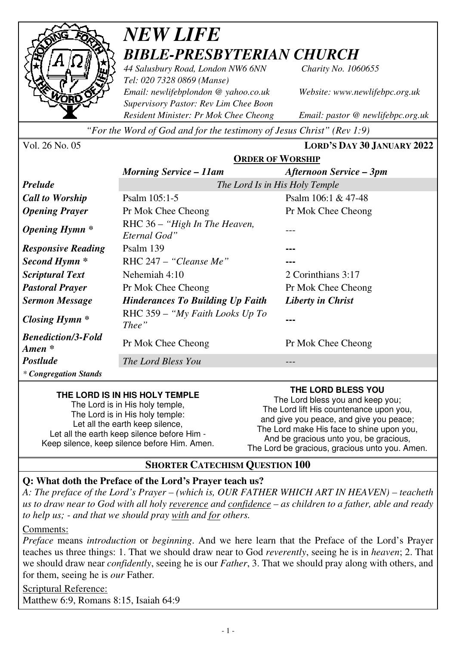

## *NEW LIFE BIBLE-PRESBYTERIAN CHURCH*

*44 Salusbury Road, London NW6 6NN Charity No. 1060655 Tel: 020 7328 0869 (Manse) Email: newlifebplondon @ yahoo.co.uk Website: www.newlifebpc.org.uk Supervisory Pastor: Rev Lim Chee Boon Resident Minister: Pr Mok Chee Cheong Email: pastor @ newlifebpc.org.uk* 

*"For the Word of God and for the testimony of Jesus Christ" (Rev 1:9)*

| Vol. 26 No. 05 |  |
|----------------|--|
|----------------|--|

Vol. 26 No. 05 **LORD'S DAY 30 JANUARY 2022**

|                                                 | <b>ORDER OF WORSHIP</b>                         |                                |  |
|-------------------------------------------------|-------------------------------------------------|--------------------------------|--|
|                                                 | <b>Morning Service - 11am</b>                   | <b>Afternoon Service - 3pm</b> |  |
| <b>Prelude</b>                                  | The Lord Is in His Holy Temple                  |                                |  |
| <b>Call to Worship</b>                          | Psalm 105:1-5                                   | Psalm $106:1 & 47-48$          |  |
| <b>Opening Prayer</b>                           | Pr Mok Chee Cheong                              | Pr Mok Chee Cheong             |  |
| <i><b>Opening Hymn</b></i> *                    | RHC $36 -$ "High In The Heaven,<br>Eternal God" |                                |  |
| <b>Responsive Reading</b>                       | Psalm 139                                       |                                |  |
| Second Hymn <sup>*</sup>                        | RHC $247 -$ "Cleanse Me"                        | ---                            |  |
| <b>Scriptural Text</b>                          | Nehemiah $4:10$                                 | 2 Corinthians 3:17             |  |
| <b>Pastoral Prayer</b>                          | Pr Mok Chee Cheong                              | Pr Mok Chee Cheong             |  |
| <b>Sermon Message</b>                           | <b>Hinderances To Building Up Faith</b>         | Liberty in Christ              |  |
| Closing Hymn $*$                                | RHC 359 – "My Faith Looks Up To"<br>Thee"       |                                |  |
| <b>Benediction/3-Fold</b><br>$A$ <i>men</i> $*$ | Pr Mok Chee Cheong                              | Pr Mok Chee Cheong             |  |
| <b>Postlude</b>                                 | The Lord Bless You                              | ---                            |  |
| <i>* Congregation Stands</i>                    |                                                 |                                |  |

#### **THE LORD IS IN HIS HOLY TEMPLE**

The Lord is in His holy temple, The Lord is in His holy temple: Let all the earth keep silence, Let all the earth keep silence before Him - Keep silence, keep silence before Him. Amen. **THE LORD BLESS YOU** 

The Lord bless you and keep you; The Lord lift His countenance upon you, and give you peace, and give you peace; The Lord make His face to shine upon you, And be gracious unto you, be gracious, The Lord be gracious, gracious unto you. Amen.

#### **SHORTER CATECHISM QUESTION 100**

#### **Q: What doth the Preface of the Lord's Prayer teach us?**

*A: The preface of the Lord's Prayer – (which is, OUR FATHER WHICH ART IN HEAVEN) – teacheth us to draw near to God with all holy reverence and confidence – as children to a father, able and ready to help us; - and that we should pray with and for others.* 

#### Comments:

*Preface* means *introduction* or *beginning*. And we here learn that the Preface of the Lord's Prayer teaches us three things: 1. That we should draw near to God *reverently*, seeing he is in *heaven*; 2. That we should draw near *confidently*, seeing he is our *Father*, 3. That we should pray along with others, and for them, seeing he is *our* Father*.*

Scriptural Reference: Matthew 6:9, Romans 8:15, Isaiah 64:9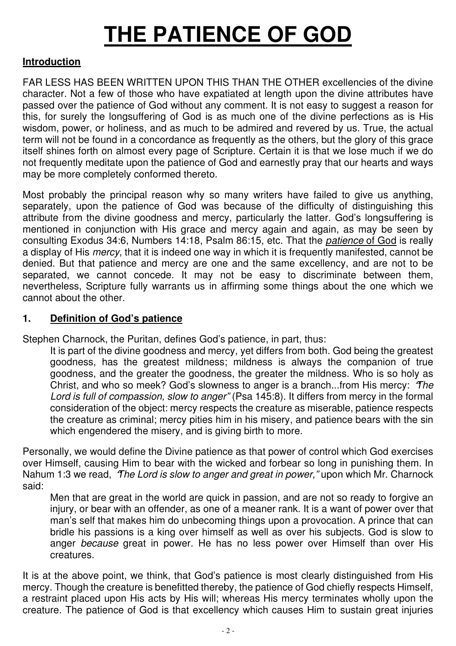# **THE PATIENCE OF GOD**

#### **Introduction**

FAR LESS HAS BEEN WRITTEN UPON THIS THAN THE OTHER excellencies of the divine character. Not a few of those who have expatiated at length upon the divine attributes have passed over the patience of God without any comment. It is not easy to suggest a reason for this, for surely the longsuffering of God is as much one of the divine perfections as is His wisdom, power, or holiness, and as much to be admired and revered by us. True, the actual term will not be found in a concordance as frequently as the others, but the glory of this grace itself shines forth on almost every page of Scripture. Certain it is that we lose much if we do not frequently meditate upon the patience of God and earnestly pray that our hearts and ways may be more completely conformed thereto.

Most probably the principal reason why so many writers have failed to give us anything, separately, upon the patience of God was because of the difficulty of distinguishing this attribute from the divine goodness and mercy, particularly the latter. God's longsuffering is mentioned in conjunction with His grace and mercy again and again, as may be seen by consulting Exodus 34:6, Numbers 14:18, Psalm 86:15, etc. That the patience of God is really a display of His mercy, that it is indeed one way in which it is frequently manifested, cannot be denied. But that patience and mercy are one and the same excellency, and are not to be separated, we cannot concede. It may not be easy to discriminate between them, nevertheless, Scripture fully warrants us in affirming some things about the one which we cannot about the other.

#### **1. Definition of God's patience**

Stephen Charnock, the Puritan, defines God's patience, in part, thus:

It is part of the divine goodness and mercy, yet differs from both. God being the greatest goodness, has the greatest mildness; mildness is always the companion of true goodness, and the greater the goodness, the greater the mildness. Who is so holy as Christ, and who so meek? God's slowness to anger is a branch...from His mercy: **"**The Lord is full of compassion, slow to anger" (Psa 145:8). It differs from mercy in the formal consideration of the object: mercy respects the creature as miserable, patience respects the creature as criminal; mercy pities him in his misery, and patience bears with the sin which engendered the misery, and is giving birth to more.

Personally, we would define the Divine patience as that power of control which God exercises over Himself, causing Him to bear with the wicked and forbear so long in punishing them. In Nahum 1:3 we read, **"**The Lord is slow to anger and great in power," upon which Mr. Charnock said:

Men that are great in the world are quick in passion, and are not so ready to forgive an injury, or bear with an offender, as one of a meaner rank. It is a want of power over that man's self that makes him do unbecoming things upon a provocation. A prince that can bridle his passions is a king over himself as well as over his subjects. God is slow to anger because great in power. He has no less power over Himself than over His creatures.

It is at the above point, we think, that God's patience is most clearly distinguished from His mercy. Though the creature is benefitted thereby, the patience of God chiefly respects Himself, a restraint placed upon His acts by His will; whereas His mercy terminates wholly upon the creature. The patience of God is that excellency which causes Him to sustain great injuries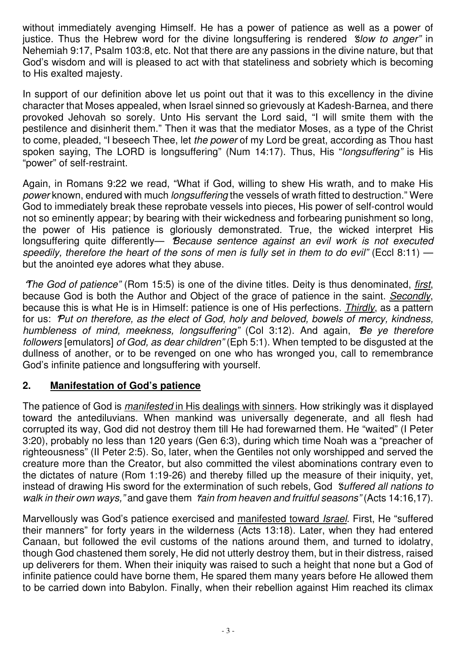without immediately avenging Himself. He has a power of patience as well as a power of justice. Thus the Hebrew word for the divine longsuffering is rendered **"**slow to anger" in Nehemiah 9:17, Psalm 103:8, etc. Not that there are any passions in the divine nature, but that God's wisdom and will is pleased to act with that stateliness and sobriety which is becoming to His exalted majesty.

In support of our definition above let us point out that it was to this excellency in the divine character that Moses appealed, when Israel sinned so grievously at Kadesh-Barnea, and there provoked Jehovah so sorely. Unto His servant the Lord said, "I will smite them with the pestilence and disinherit them." Then it was that the mediator Moses, as a type of the Christ to come, pleaded, "I beseech Thee, let the power of my Lord be great, according as Thou hast spoken saying, The LORD is longsuffering" (Num 14:17). Thus, His "longsuffering" is His "power" of self-restraint.

Again, in Romans 9:22 we read, "What if God, willing to shew His wrath, and to make His power known, endured with much longsuffering the vessels of wrath fitted to destruction." Were God to immediately break these reprobate vessels into pieces, His power of self-control would not so eminently appear; by bearing with their wickedness and forbearing punishment so long, the power of His patience is gloriously demonstrated. True, the wicked interpret His longsuffering quite differently— **"**Because sentence against an evil work is not executed speedily, therefore the heart of the sons of men is fully set in them to do evil" (Eccl 8:11)  $$ but the anointed eye adores what they abuse.

**"**The God of patience" (Rom 15:5) is one of the divine titles. Deity is thus denominated, first, because God is both the Author and Object of the grace of patience in the saint. Secondly, because this is what He is in Himself: patience is one of His perfections. Thirdly, as a pattern for us: Put on therefore, as the elect of God, holy and beloved, bowels of mercy, kindness, humbleness of mind, meekness, longsuffering" (Col 3:12). And again, **"**Be ye therefore followers [emulators] of God, as dear children" (Eph 5:1). When tempted to be disqusted at the dullness of another, or to be revenged on one who has wronged you, call to remembrance God's infinite patience and longsuffering with yourself.

#### **2. Manifestation of God's patience**

The patience of God is *manifested* in His dealings with sinners. How strikingly was it displayed toward the antediluvians. When mankind was universally degenerate, and all flesh had corrupted its way, God did not destroy them till He had forewarned them. He "waited" (I Peter 3:20), probably no less than 120 years (Gen 6:3), during which time Noah was a "preacher of righteousness" (II Peter 2:5). So, later, when the Gentiles not only worshipped and served the creature more than the Creator, but also committed the vilest abominations contrary even to the dictates of nature (Rom 1:19-26) and thereby filled up the measure of their iniquity, yet, instead of drawing His sword for the extermination of such rebels, God **"**suffered all nations to walk in their own ways, "and gave them *fain from heaven and fruitful seasons*" (Acts 14:16,17).

Marvellously was God's patience exercised and manifested toward *Israel*. First, He "suffered their manners" for forty years in the wilderness (Acts 13:18). Later, when they had entered Canaan, but followed the evil customs of the nations around them, and turned to idolatry, though God chastened them sorely, He did not utterly destroy them, but in their distress, raised up deliverers for them. When their iniquity was raised to such a height that none but a God of infinite patience could have borne them, He spared them many years before He allowed them to be carried down into Babylon. Finally, when their rebellion against Him reached its climax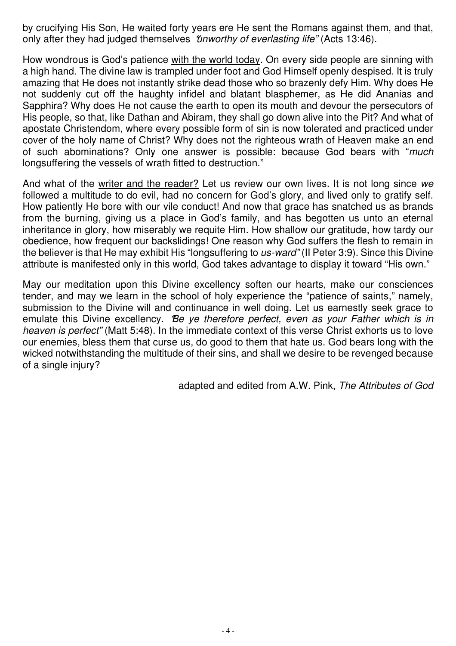by crucifying His Son, He waited forty years ere He sent the Romans against them, and that, only after they had judged themselves *'tinworthy of everlasting life"* (Acts 13:46).

How wondrous is God's patience with the world today. On every side people are sinning with a high hand. The divine law is trampled under foot and God Himself openly despised. It is truly amazing that He does not instantly strike dead those who so brazenly defy Him. Why does He not suddenly cut off the haughty infidel and blatant blasphemer, as He did Ananias and Sapphira? Why does He not cause the earth to open its mouth and devour the persecutors of His people, so that, like Dathan and Abiram, they shall go down alive into the Pit? And what of apostate Christendom, where every possible form of sin is now tolerated and practiced under cover of the holy name of Christ? Why does not the righteous wrath of Heaven make an end of such abominations? Only one answer is possible: because God bears with "much longsuffering the vessels of wrath fitted to destruction."

And what of the writer and the reader? Let us review our own lives. It is not long since we followed a multitude to do evil, had no concern for God's glory, and lived only to gratify self. How patiently He bore with our vile conduct! And now that grace has snatched us as brands from the burning, giving us a place in God's family, and has begotten us unto an eternal inheritance in glory, how miserably we requite Him. How shallow our gratitude, how tardy our obedience, how frequent our backslidings! One reason why God suffers the flesh to remain in the believer is that He may exhibit His "longsuffering to us-ward" (II Peter 3:9). Since this Divine attribute is manifested only in this world, God takes advantage to display it toward "His own."

May our meditation upon this Divine excellency soften our hearts, make our consciences tender, and may we learn in the school of holy experience the "patience of saints," namely, submission to the Divine will and continuance in well doing. Let us earnestly seek grace to emulate this Divine excellency. **"**Be ye therefore perfect, even as your Father which is in heaven is perfect" (Matt 5:48). In the immediate context of this verse Christ exhorts us to love our enemies, bless them that curse us, do good to them that hate us. God bears long with the wicked notwithstanding the multitude of their sins, and shall we desire to be revenged because of a single injury?

adapted and edited from A.W. Pink, The Attributes of God